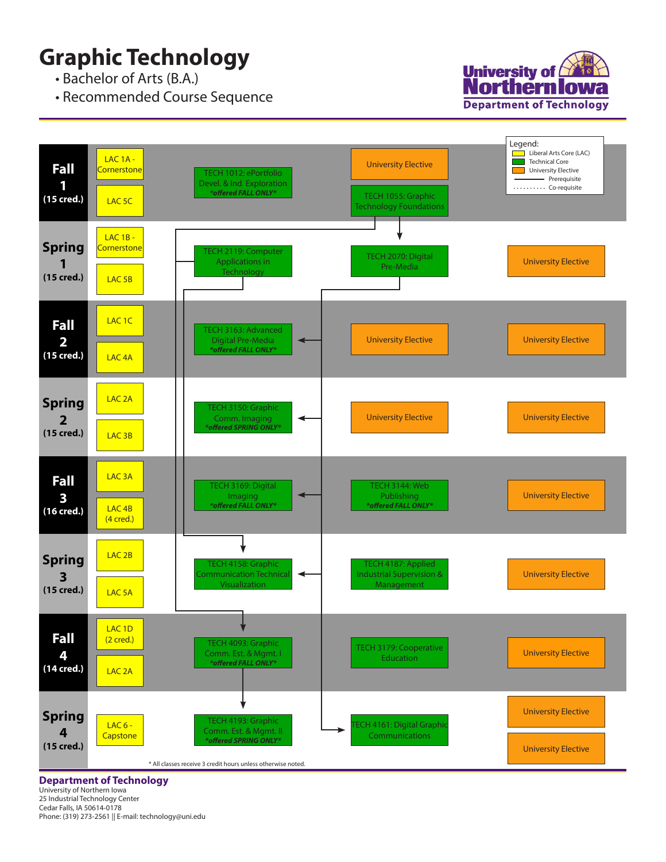## **Graphic Technology**

• Bachelor of Arts (B.A.)

• Recommended Course Sequence





**Department of Technology**

University of Northern Iowa 25 Industrial Technology Center Cedar Falls, IA 50614-0178 Phone: (319) 273-2561 || E-mail: technology@uni.edu